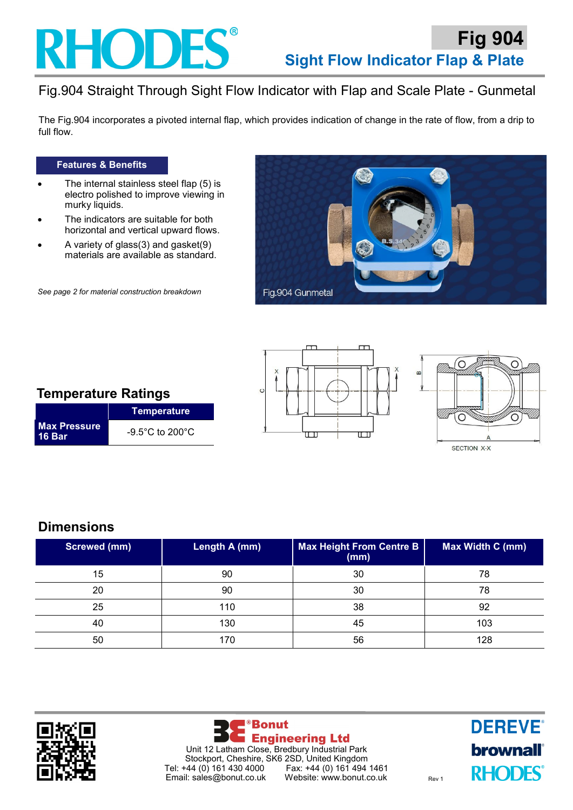## **RHODES®**

## Fig.904 Straight Through Sight Flow Indicator with Flap and Scale Plate - Gunmetal

The Fig.904 incorporates a pivoted internal flap, which provides indication of change in the rate of flow, from a drip to full flow.

### **Features & Benefits**

- The internal stainless steel flap (5) is electro polished to improve viewing in murky liquids.
- The indicators are suitable for both horizontal and vertical upward flows.
- A variety of glass $(3)$  and gasket $(9)$ materials are available as standard.

*See page 2 for material construction breakdown*





|                        | Temperature                          |  |
|------------------------|--------------------------------------|--|
| Max Pressure<br>16 Bar | $-9.5^{\circ}$ C to 200 $^{\circ}$ C |  |





### **Dimensions**

| Screwed (mm) | Length A (mm) | Max Height From Centre B<br>(mm) | Max Width C (mm) |
|--------------|---------------|----------------------------------|------------------|
| 15           | 90            | 30                               | 78               |
| 20           | 90            | 30                               | 78               |
| 25           | 110           | 38                               | 92               |
| 40           | 130           | 45                               | 103              |
| 50           | 170           | 56                               | 128              |





**DEREVE® brownall RHODES**